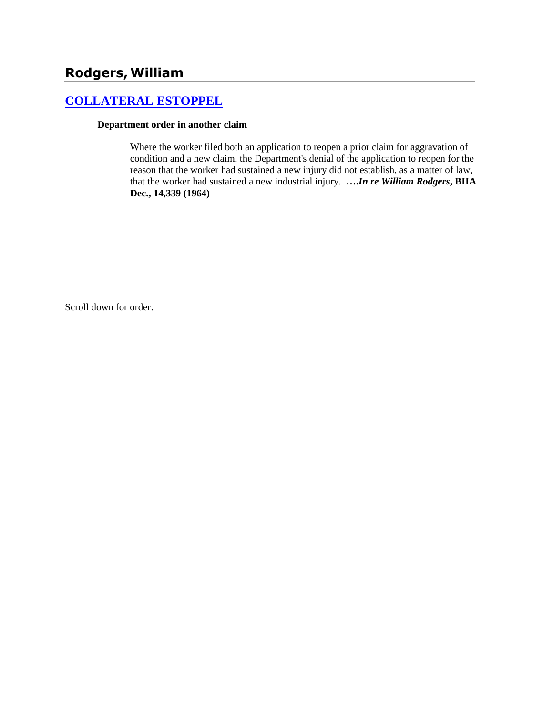## **Rodgers,William**

## **[COLLATERAL ESTOPPEL](http://www.biia.wa.gov/SDSubjectIndex.html#COLLATERAL_ESTOPPEL)**

#### **Department order in another claim**

Where the worker filed both an application to reopen a prior claim for aggravation of condition and a new claim, the Department's denial of the application to reopen for the reason that the worker had sustained a new injury did not establish, as a matter of law, that the worker had sustained a new industrial injury. **….***In re William Rodgers***, BIIA Dec., 14,339 (1964)**

Scroll down for order.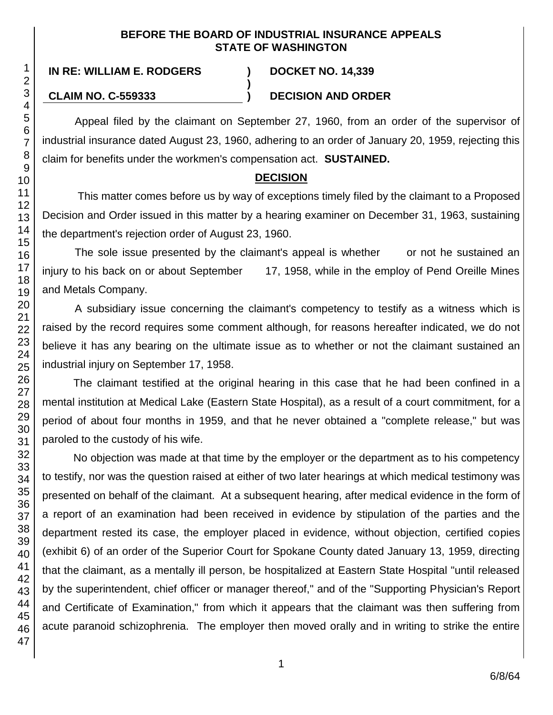#### **BEFORE THE BOARD OF INDUSTRIAL INSURANCE APPEALS STATE OF WASHINGTON**

**)**

# **IN RE: WILLIAM E. RODGERS ) DOCKET NO. 14,339**

#### **CLAIM NO. C-559333 ) DECISION AND ORDER**

Appeal filed by the claimant on September 27, 1960, from an order of the supervisor of industrial insurance dated August 23, 1960, adhering to an order of January 20, 1959, rejecting this claim for benefits under the workmen's compensation act. **SUSTAINED.**

### **DECISION**

This matter comes before us by way of exceptions timely filed by the claimant to a Proposed Decision and Order issued in this matter by a hearing examiner on December 31, 1963, sustaining the department's rejection order of August 23, 1960.

The sole issue presented by the claimant's appeal is whether or not he sustained an injury to his back on or about September 17, 1958, while in the employ of Pend Oreille Mines and Metals Company.

A subsidiary issue concerning the claimant's competency to testify as a witness which is raised by the record requires some comment although, for reasons hereafter indicated, we do not believe it has any bearing on the ultimate issue as to whether or not the claimant sustained an industrial injury on September 17, 1958.

The claimant testified at the original hearing in this case that he had been confined in a mental institution at Medical Lake (Eastern State Hospital), as a result of a court commitment, for a period of about four months in 1959, and that he never obtained a "complete release," but was paroled to the custody of his wife.

No objection was made at that time by the employer or the department as to his competency to testify, nor was the question raised at either of two later hearings at which medical testimony was presented on behalf of the claimant. At a subsequent hearing, after medical evidence in the form of a report of an examination had been received in evidence by stipulation of the parties and the department rested its case, the employer placed in evidence, without objection, certified copies (exhibit 6) of an order of the Superior Court for Spokane County dated January 13, 1959, directing that the claimant, as a mentally ill person, be hospitalized at Eastern State Hospital "until released by the superintendent, chief officer or manager thereof," and of the "Supporting Physician's Report and Certificate of Examination," from which it appears that the claimant was then suffering from acute paranoid schizophrenia. The employer then moved orally and in writing to strike the entire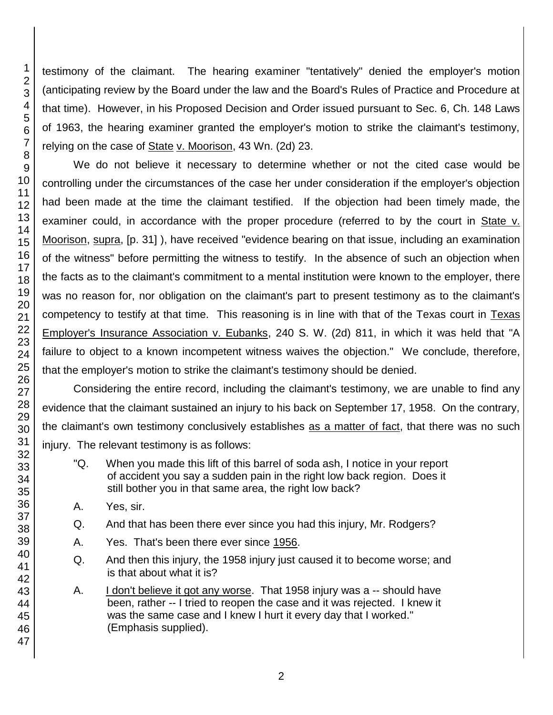testimony of the claimant. The hearing examiner "tentatively" denied the employer's motion (anticipating review by the Board under the law and the Board's Rules of Practice and Procedure at that time). However, in his Proposed Decision and Order issued pursuant to Sec. 6, Ch. 148 Laws of 1963, the hearing examiner granted the employer's motion to strike the claimant's testimony, relying on the case of State v. Moorison, 43 Wn. (2d) 23.

We do not believe it necessary to determine whether or not the cited case would be controlling under the circumstances of the case her under consideration if the employer's objection had been made at the time the claimant testified. If the objection had been timely made, the examiner could, in accordance with the proper procedure (referred to by the court in State v. Moorison, supra, [p. 31] ), have received "evidence bearing on that issue, including an examination of the witness" before permitting the witness to testify. In the absence of such an objection when the facts as to the claimant's commitment to a mental institution were known to the employer, there was no reason for, nor obligation on the claimant's part to present testimony as to the claimant's competency to testify at that time. This reasoning is in line with that of the Texas court in Texas Employer's Insurance Association v. Eubanks, 240 S. W. (2d) 811, in which it was held that "A failure to object to a known incompetent witness waives the objection." We conclude, therefore, that the employer's motion to strike the claimant's testimony should be denied.

Considering the entire record, including the claimant's testimony, we are unable to find any evidence that the claimant sustained an injury to his back on September 17, 1958. On the contrary, the claimant's own testimony conclusively establishes as a matter of fact, that there was no such injury. The relevant testimony is as follows:

- "Q. When you made this lift of this barrel of soda ash, I notice in your report of accident you say a sudden pain in the right low back region. Does it still bother you in that same area, the right low back?
- A. Yes, sir.
- Q. And that has been there ever since you had this injury, Mr. Rodgers?
- A. Yes. That's been there ever since 1956.
- Q. And then this injury, the 1958 injury just caused it to become worse; and is that about what it is?
- A. I don't believe it got any worse. That 1958 injury was a -- should have been, rather -- I tried to reopen the case and it was rejected. I knew it was the same case and I knew I hurt it every day that I worked." (Emphasis supplied).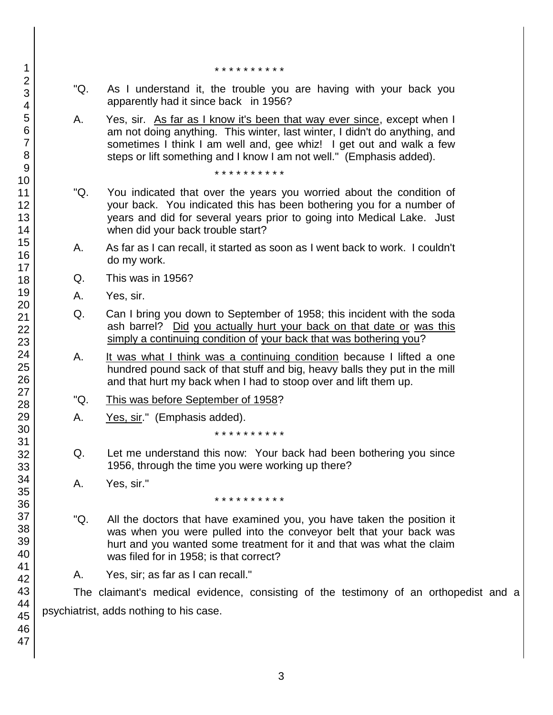- \* \* \* \* \* \* \* \* \* \*
- "Q. As I understand it, the trouble you are having with your back you apparently had it since back in 1956?
- A. Yes, sir. As far as I know it's been that way ever since, except when I am not doing anything. This winter, last winter, I didn't do anything, and sometimes I think I am well and, gee whiz! I get out and walk a few steps or lift something and I know I am not well." (Emphasis added).

\* \* \* \* \* \* \* \* \* \*

- "Q. You indicated that over the years you worried about the condition of your back. You indicated this has been bothering you for a number of years and did for several years prior to going into Medical Lake. Just when did your back trouble start?
- A. As far as I can recall, it started as soon as I went back to work. I couldn't do my work.
- Q. This was in 1956?
- A. Yes, sir.
- Q. Can I bring you down to September of 1958; this incident with the soda ash barrel? Did you actually hurt your back on that date or was this simply a continuing condition of your back that was bothering you?
- A. It was what I think was a continuing condition because I lifted a one hundred pound sack of that stuff and big, heavy balls they put in the mill and that hurt my back when I had to stoop over and lift them up.
- "Q. This was before September of 1958?
- A. Yes, sir." (Emphasis added).

\* \* \* \* \* \* \* \* \* \*

- Q. Let me understand this now: Your back had been bothering you since 1956, through the time you were working up there?
- A. Yes, sir."

\* \* \* \* \* \* \* \* \* \*

- "Q. All the doctors that have examined you, you have taken the position it was when you were pulled into the conveyor belt that your back was hurt and you wanted some treatment for it and that was what the claim was filed for in 1958; is that correct?
- A. Yes, sir; as far as I can recall."

The claimant's medical evidence, consisting of the testimony of an orthopedist and a psychiatrist, adds nothing to his case.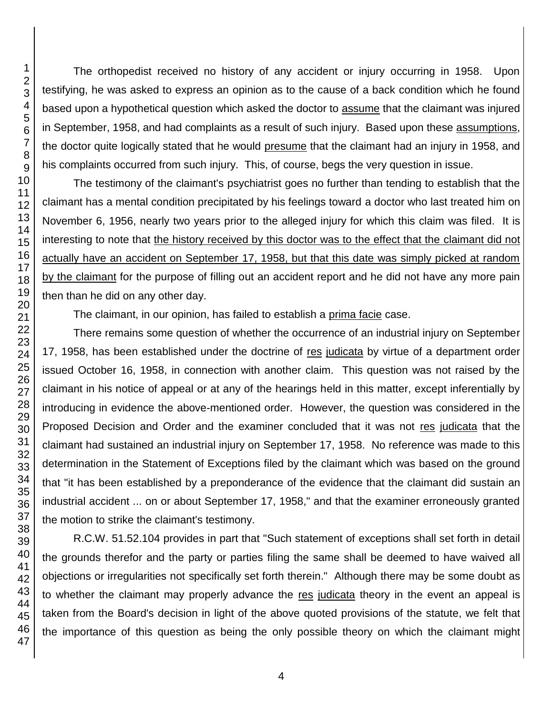The orthopedist received no history of any accident or injury occurring in 1958. Upon testifying, he was asked to express an opinion as to the cause of a back condition which he found based upon a hypothetical question which asked the doctor to assume that the claimant was injured in September, 1958, and had complaints as a result of such injury. Based upon these assumptions, the doctor quite logically stated that he would presume that the claimant had an injury in 1958, and his complaints occurred from such injury. This, of course, begs the very question in issue.

The testimony of the claimant's psychiatrist goes no further than tending to establish that the claimant has a mental condition precipitated by his feelings toward a doctor who last treated him on November 6, 1956, nearly two years prior to the alleged injury for which this claim was filed. It is interesting to note that the history received by this doctor was to the effect that the claimant did not actually have an accident on September 17, 1958, but that this date was simply picked at random by the claimant for the purpose of filling out an accident report and he did not have any more pain then than he did on any other day.

The claimant, in our opinion, has failed to establish a prima facie case.

There remains some question of whether the occurrence of an industrial injury on September 17, 1958, has been established under the doctrine of res judicata by virtue of a department order issued October 16, 1958, in connection with another claim. This question was not raised by the claimant in his notice of appeal or at any of the hearings held in this matter, except inferentially by introducing in evidence the above-mentioned order. However, the question was considered in the Proposed Decision and Order and the examiner concluded that it was not res judicata that the claimant had sustained an industrial injury on September 17, 1958. No reference was made to this determination in the Statement of Exceptions filed by the claimant which was based on the ground that "it has been established by a preponderance of the evidence that the claimant did sustain an industrial accident ... on or about September 17, 1958," and that the examiner erroneously granted the motion to strike the claimant's testimony.

R.C.W. 51.52.104 provides in part that "Such statement of exceptions shall set forth in detail the grounds therefor and the party or parties filing the same shall be deemed to have waived all objections or irregularities not specifically set forth therein." Although there may be some doubt as to whether the claimant may properly advance the res judicata theory in the event an appeal is taken from the Board's decision in light of the above quoted provisions of the statute, we felt that the importance of this question as being the only possible theory on which the claimant might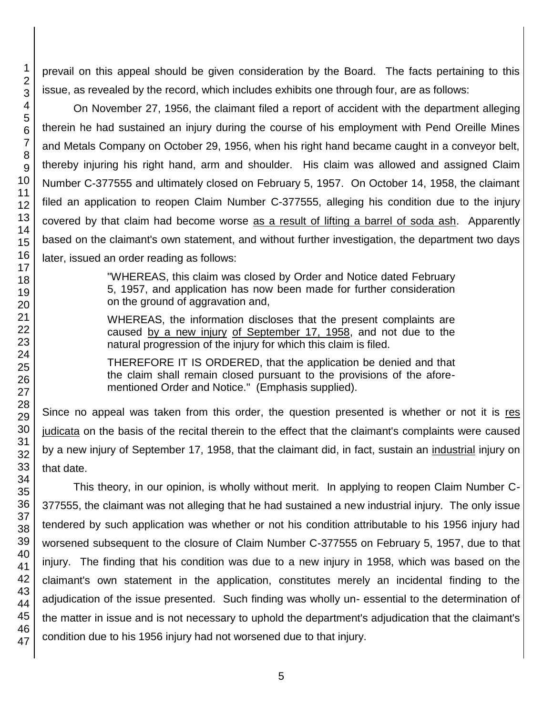prevail on this appeal should be given consideration by the Board. The facts pertaining to this issue, as revealed by the record, which includes exhibits one through four, are as follows:

On November 27, 1956, the claimant filed a report of accident with the department alleging therein he had sustained an injury during the course of his employment with Pend Oreille Mines and Metals Company on October 29, 1956, when his right hand became caught in a conveyor belt, thereby injuring his right hand, arm and shoulder. His claim was allowed and assigned Claim Number C-377555 and ultimately closed on February 5, 1957. On October 14, 1958, the claimant filed an application to reopen Claim Number C-377555, alleging his condition due to the injury covered by that claim had become worse as a result of lifting a barrel of soda ash. Apparently based on the claimant's own statement, and without further investigation, the department two days later, issued an order reading as follows:

> "WHEREAS, this claim was closed by Order and Notice dated February 5, 1957, and application has now been made for further consideration on the ground of aggravation and,

> WHEREAS, the information discloses that the present complaints are caused by a new injury of September 17, 1958, and not due to the natural progression of the injury for which this claim is filed.

> THEREFORE IT IS ORDERED, that the application be denied and that the claim shall remain closed pursuant to the provisions of the aforementioned Order and Notice." (Emphasis supplied).

Since no appeal was taken from this order, the question presented is whether or not it is res judicata on the basis of the recital therein to the effect that the claimant's complaints were caused by a new injury of September 17, 1958, that the claimant did, in fact, sustain an industrial injury on that date.

This theory, in our opinion, is wholly without merit. In applying to reopen Claim Number C-377555, the claimant was not alleging that he had sustained a new industrial injury. The only issue tendered by such application was whether or not his condition attributable to his 1956 injury had worsened subsequent to the closure of Claim Number C-377555 on February 5, 1957, due to that injury. The finding that his condition was due to a new injury in 1958, which was based on the claimant's own statement in the application, constitutes merely an incidental finding to the adjudication of the issue presented. Such finding was wholly un- essential to the determination of the matter in issue and is not necessary to uphold the department's adjudication that the claimant's condition due to his 1956 injury had not worsened due to that injury.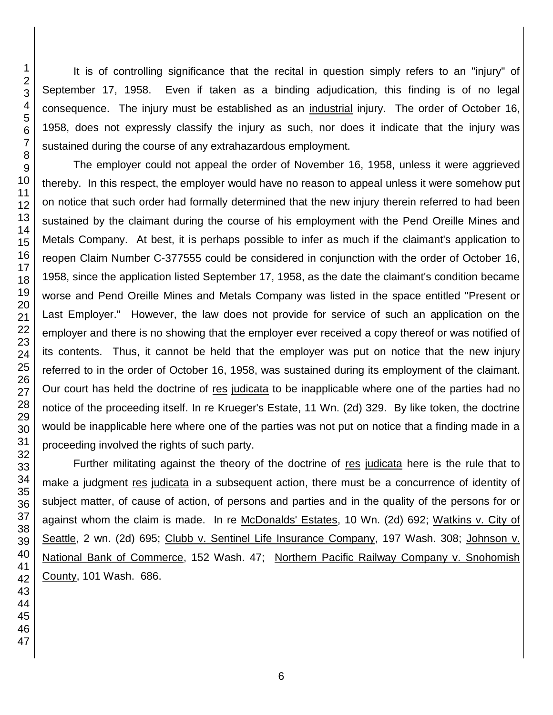It is of controlling significance that the recital in question simply refers to an "injury" of September 17, 1958. Even if taken as a binding adjudication, this finding is of no legal consequence. The injury must be established as an industrial injury. The order of October 16, 1958, does not expressly classify the injury as such, nor does it indicate that the injury was sustained during the course of any extrahazardous employment.

The employer could not appeal the order of November 16, 1958, unless it were aggrieved thereby. In this respect, the employer would have no reason to appeal unless it were somehow put on notice that such order had formally determined that the new injury therein referred to had been sustained by the claimant during the course of his employment with the Pend Oreille Mines and Metals Company. At best, it is perhaps possible to infer as much if the claimant's application to reopen Claim Number C-377555 could be considered in conjunction with the order of October 16, 1958, since the application listed September 17, 1958, as the date the claimant's condition became worse and Pend Oreille Mines and Metals Company was listed in the space entitled "Present or Last Employer." However, the law does not provide for service of such an application on the employer and there is no showing that the employer ever received a copy thereof or was notified of its contents. Thus, it cannot be held that the employer was put on notice that the new injury referred to in the order of October 16, 1958, was sustained during its employment of the claimant. Our court has held the doctrine of res judicata to be inapplicable where one of the parties had no notice of the proceeding itself. In re Krueger's Estate, 11 Wn. (2d) 329. By like token, the doctrine would be inapplicable here where one of the parties was not put on notice that a finding made in a proceeding involved the rights of such party.

Further militating against the theory of the doctrine of res judicata here is the rule that to make a judgment res judicata in a subsequent action, there must be a concurrence of identity of subject matter, of cause of action, of persons and parties and in the quality of the persons for or against whom the claim is made. In re McDonalds' Estates, 10 Wn. (2d) 692; Watkins v. City of Seattle, 2 wn. (2d) 695; Clubb v. Sentinel Life Insurance Company, 197 Wash. 308; Johnson v. National Bank of Commerce, 152 Wash. 47; Northern Pacific Railway Company v. Snohomish County, 101 Wash. 686.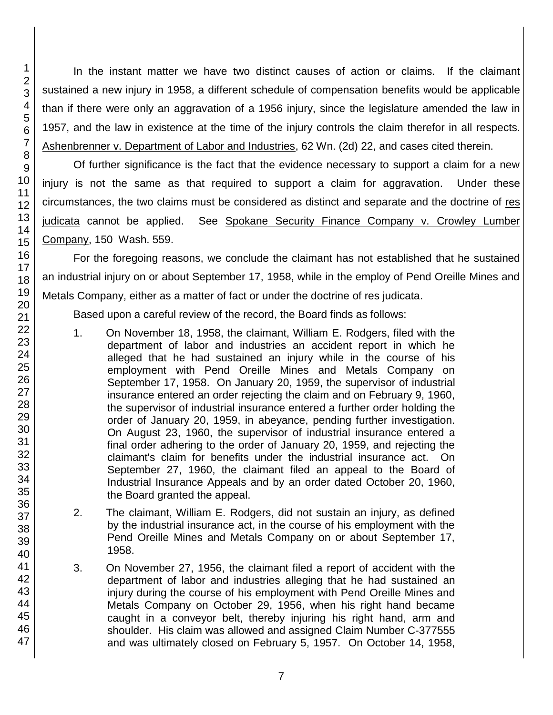In the instant matter we have two distinct causes of action or claims. If the claimant sustained a new injury in 1958, a different schedule of compensation benefits would be applicable than if there were only an aggravation of a 1956 injury, since the legislature amended the law in 1957, and the law in existence at the time of the injury controls the claim therefor in all respects. Ashenbrenner v. Department of Labor and Industries, 62 Wn. (2d) 22, and cases cited therein.

Of further significance is the fact that the evidence necessary to support a claim for a new injury is not the same as that required to support a claim for aggravation. Under these circumstances, the two claims must be considered as distinct and separate and the doctrine of res judicata cannot be applied. See Spokane Security Finance Company v. Crowley Lumber Company, 150 Wash. 559.

For the foregoing reasons, we conclude the claimant has not established that he sustained an industrial injury on or about September 17, 1958, while in the employ of Pend Oreille Mines and Metals Company, either as a matter of fact or under the doctrine of res judicata.

Based upon a careful review of the record, the Board finds as follows:

- 1. On November 18, 1958, the claimant, William E. Rodgers, filed with the department of labor and industries an accident report in which he alleged that he had sustained an injury while in the course of his employment with Pend Oreille Mines and Metals Company on September 17, 1958. On January 20, 1959, the supervisor of industrial insurance entered an order rejecting the claim and on February 9, 1960, the supervisor of industrial insurance entered a further order holding the order of January 20, 1959, in abeyance, pending further investigation. On August 23, 1960, the supervisor of industrial insurance entered a final order adhering to the order of January 20, 1959, and rejecting the claimant's claim for benefits under the industrial insurance act. On September 27, 1960, the claimant filed an appeal to the Board of Industrial Insurance Appeals and by an order dated October 20, 1960, the Board granted the appeal.
- 2. The claimant, William E. Rodgers, did not sustain an injury, as defined by the industrial insurance act, in the course of his employment with the Pend Oreille Mines and Metals Company on or about September 17, 1958.
- 3. On November 27, 1956, the claimant filed a report of accident with the department of labor and industries alleging that he had sustained an injury during the course of his employment with Pend Oreille Mines and Metals Company on October 29, 1956, when his right hand became caught in a conveyor belt, thereby injuring his right hand, arm and shoulder. His claim was allowed and assigned Claim Number C-377555 and was ultimately closed on February 5, 1957. On October 14, 1958,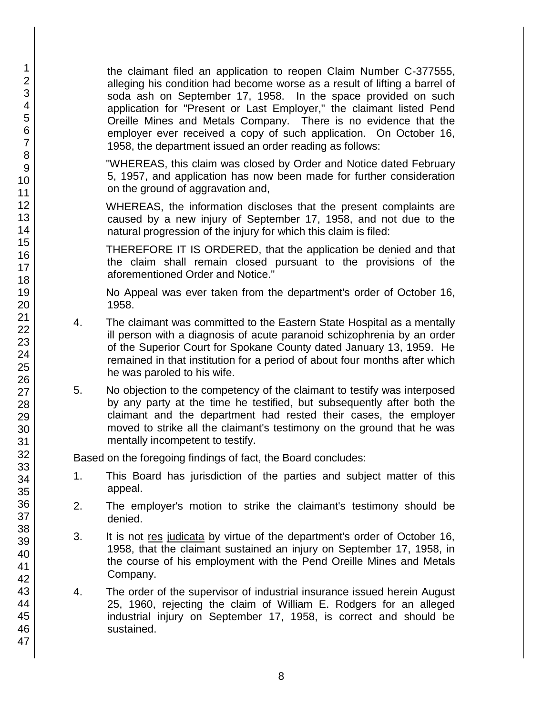the claimant filed an application to reopen Claim Number C-377555, alleging his condition had become worse as a result of lifting a barrel of soda ash on September 17, 1958. In the space provided on such application for "Present or Last Employer," the claimant listed Pend Oreille Mines and Metals Company. There is no evidence that the employer ever received a copy of such application. On October 16, 1958, the department issued an order reading as follows:

"WHEREAS, this claim was closed by Order and Notice dated February 5, 1957, and application has now been made for further consideration on the ground of aggravation and,

WHEREAS, the information discloses that the present complaints are caused by a new injury of September 17, 1958, and not due to the natural progression of the injury for which this claim is filed:

THEREFORE IT IS ORDERED, that the application be denied and that the claim shall remain closed pursuant to the provisions of the aforementioned Order and Notice."

No Appeal was ever taken from the department's order of October 16, 1958.

- 4. The claimant was committed to the Eastern State Hospital as a mentally ill person with a diagnosis of acute paranoid schizophrenia by an order of the Superior Court for Spokane County dated January 13, 1959. He remained in that institution for a period of about four months after which he was paroled to his wife.
- 5. No objection to the competency of the claimant to testify was interposed by any party at the time he testified, but subsequently after both the claimant and the department had rested their cases, the employer moved to strike all the claimant's testimony on the ground that he was mentally incompetent to testify.

Based on the foregoing findings of fact, the Board concludes:

- 1. This Board has jurisdiction of the parties and subject matter of this appeal.
- 2. The employer's motion to strike the claimant's testimony should be denied.
- 3. It is not res judicata by virtue of the department's order of October 16, 1958, that the claimant sustained an injury on September 17, 1958, in the course of his employment with the Pend Oreille Mines and Metals Company.
- 4. The order of the supervisor of industrial insurance issued herein August 25, 1960, rejecting the claim of William E. Rodgers for an alleged industrial injury on September 17, 1958, is correct and should be sustained.